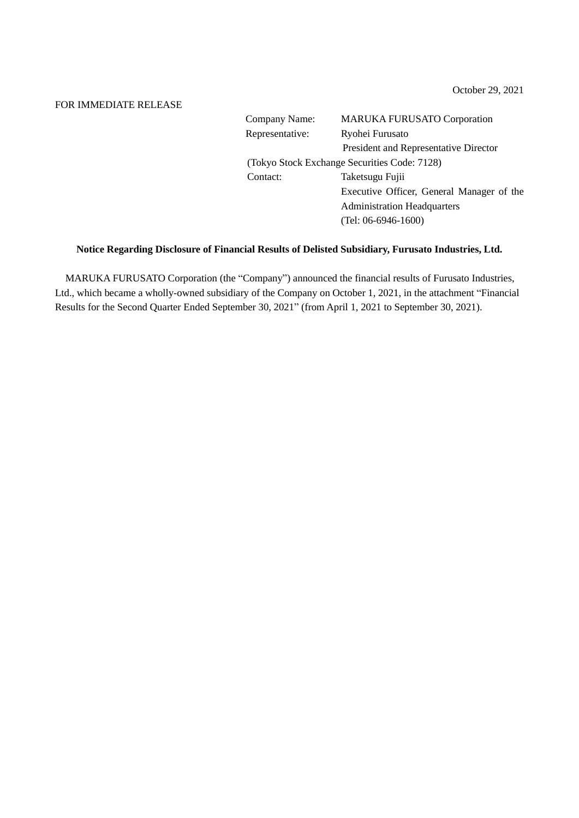#### FOR IMMEDIATE RELEASE

Company Name: MARUKA FURUSATO Corporation Representative: Ryohei Furusato President and Representative Director (Tokyo Stock Exchange Securities Code: 7128) Contact: Taketsugu Fujii Executive Officer, General Manager of the Administration Headquarters (Tel: 06-6946-1600)

#### **Notice Regarding Disclosure of Financial Results of Delisted Subsidiary, Furusato Industries, Ltd.**

MARUKA FURUSATO Corporation (the "Company") announced the financial results of Furusato Industries, Ltd., which became a wholly-owned subsidiary of the Company on October 1, 2021, in the attachment "Financial Results for the Second Quarter Ended September 30, 2021" (from April 1, 2021 to September 30, 2021).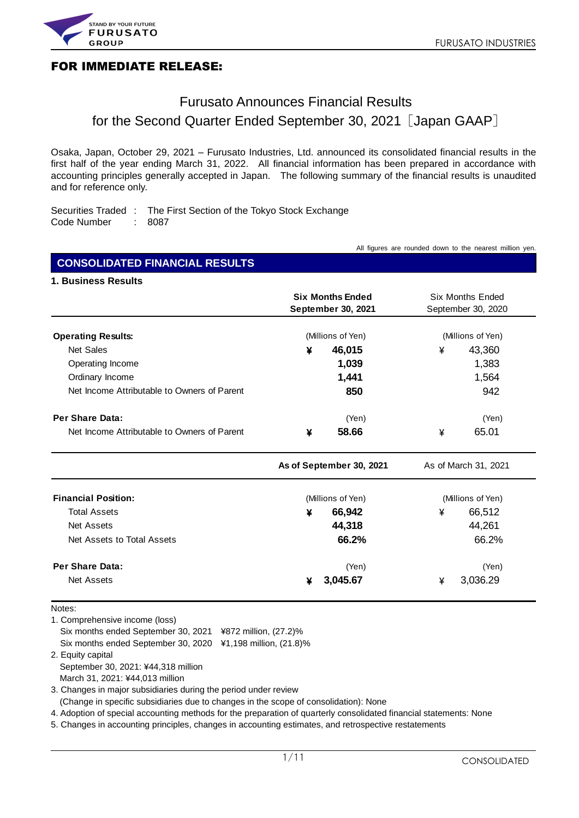

### FOR IMMEDIATE RELEASE:

# Furusato Announces Financial Results

for the Second Quarter Ended September 30, 2021 [Japan GAAP]

Osaka, Japan, October 29, 2021 – Furusato Industries, Ltd. announced its consolidated financial results in the first half of the year ending March 31, 2022. All financial information has been prepared in accordance with accounting principles generally accepted in Japan. The following summary of the financial results is unaudited and for reference only.

Securities Traded : The First Section of the Tokyo Stock Exchange Code Number : 8087

All figures are rounded down to the nearest million yen.

# **CONSOLIDATED FINANCIAL RESULTS**

|                                             | <b>Six Months Ended</b> |                          | <b>Six Months Ended</b> |                      |  |  |
|---------------------------------------------|-------------------------|--------------------------|-------------------------|----------------------|--|--|
|                                             |                         | September 30, 2021       | September 30, 2020      |                      |  |  |
| <b>Operating Results:</b>                   |                         | (Millions of Yen)        |                         | (Millions of Yen)    |  |  |
| <b>Net Sales</b>                            | ¥                       | 46,015                   | ¥                       | 43,360               |  |  |
| Operating Income                            |                         | 1,039                    |                         | 1,383                |  |  |
| Ordinary Income                             |                         | 1,441                    |                         | 1,564                |  |  |
| Net Income Attributable to Owners of Parent |                         | 850                      |                         | 942                  |  |  |
| Per Share Data:                             |                         | (Yen)                    |                         | (Yen)                |  |  |
| Net Income Attributable to Owners of Parent | ¥                       | 58.66                    | ¥                       | 65.01                |  |  |
|                                             |                         | As of September 30, 2021 |                         | As of March 31, 2021 |  |  |
| <b>Financial Position:</b>                  |                         | (Millions of Yen)        |                         | (Millions of Yen)    |  |  |
| <b>Total Assets</b>                         | ¥                       | 66,942                   | ¥                       | 66,512               |  |  |
| <b>Net Assets</b>                           |                         | 44,318                   |                         | 44,261               |  |  |
| Net Assets to Total Assets                  |                         | 66.2%                    |                         | 66.2%                |  |  |
| Per Share Data:                             |                         | (Yen)                    |                         | (Yen)                |  |  |
| <b>Net Assets</b>                           | ¥                       | 3,045.67                 | ¥                       | 3,036.29             |  |  |

#### Notes:

| 1. Comprehensive income (loss)                                        |                                                                                      |
|-----------------------------------------------------------------------|--------------------------------------------------------------------------------------|
| Six months ended September 30, 2021 \times \times 72 million, (27.2)% |                                                                                      |
| Six months ended September 30, 2020 \, \, 41,198 million, (21.8)%     |                                                                                      |
| 2. Equity capital                                                     |                                                                                      |
| September 30, 2021: ¥44,318 million                                   |                                                                                      |
| March 31, 2021: ¥44,013 million                                       |                                                                                      |
| 3. Changes in major subsidiaries during the period under review       |                                                                                      |
|                                                                       | (Change in specific subsidiaries due to changes in the scope of consolidation): None |

4. Adoption of special accounting methods for the preparation of quarterly consolidated financial statements: None

5. Changes in accounting principles, changes in accounting estimates, and retrospective restatements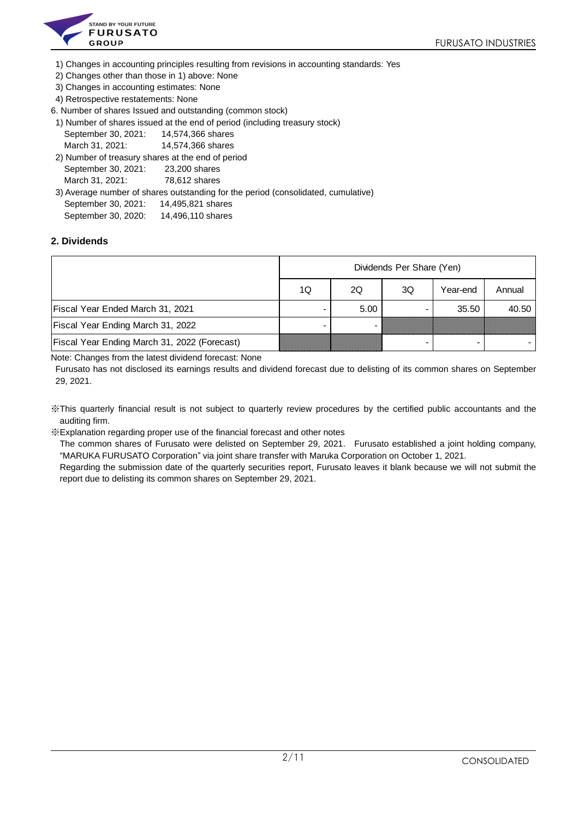

- 1) Changes in accounting principles resulting from revisions in accounting standards: Yes
- 2) Changes other than those in 1) above: None
- 3) Changes in accounting estimates: None
- 4) Retrospective restatements: None
- 6. Number of shares Issued and outstanding (common stock)
- 1) Number of shares issued at the end of period (including treasury stock)
	- September 30, 2021: 14,574,366 shares
	- March 31, 2021: 14,574,366 shares
- 2) Number of treasury shares at the end of period September 30, 2021: 23,200 shares March 31, 2021: 78,612 shares
- 3) Average number of shares outstanding for the period (consolidated, cumulative)
- September 30, 2021: 14,495,821 shares September 30, 2020: 14,496,110 shares

#### **2. Dividends**

|                                              |    |      | Dividends Per Share (Yen) |          |        |
|----------------------------------------------|----|------|---------------------------|----------|--------|
|                                              | 10 | 2Q   | 3Q                        | Year-end | Annual |
| Fiscal Year Ended March 31, 2021             |    | 5.00 |                           | 35.50    | 40.50  |
| Fiscal Year Ending March 31, 2022            |    |      |                           |          |        |
| Fiscal Year Ending March 31, 2022 (Forecast) |    |      |                           |          |        |

Note: Changes from the latest dividend forecast: None

Furusato has not disclosed its earnings results and dividend forecast due to delisting of its common shares on September 29, 2021.

※This quarterly financial result is not subject to quarterly review procedures by the certified public accountants and the auditing firm.

※Explanation regarding proper use of the financial forecast and other notes

The common shares of Furusato were delisted on September 29, 2021. Furusato established a joint holding company, "MARUKA FURUSATO Corporation" via joint share transfer with Maruka Corporation on October 1, 2021.

Regarding the submission date of the quarterly securities report, Furusato leaves it blank because we will not submit the report due to delisting its common shares on September 29, 2021.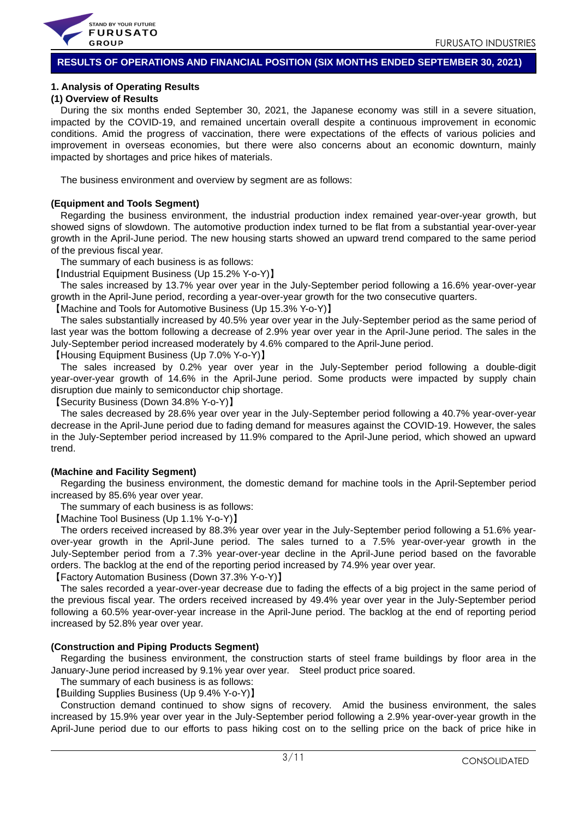

#### **RESULTS OF OPERATIONS AND FINANCIAL POSITION (SIX MONTHS ENDED SEPTEMBER 30, 2021)**

#### **1. Analysis of Operating Results**

#### **(1) Overview of Results**

During the six months ended September 30, 2021, the Japanese economy was still in a severe situation, impacted by the COVID-19, and remained uncertain overall despite a continuous improvement in economic conditions. Amid the progress of vaccination, there were expectations of the effects of various policies and improvement in overseas economies, but there were also concerns about an economic downturn, mainly impacted by shortages and price hikes of materials.

The business environment and overview by segment are as follows:

#### **(Equipment and Tools Segment)**

Regarding the business environment, the industrial production index remained year-over-year growth, but showed signs of slowdown. The automotive production index turned to be flat from a substantial year-over-year growth in the April-June period. The new housing starts showed an upward trend compared to the same period of the previous fiscal year.

The summary of each business is as follows:

【Industrial Equipment Business (Up 15.2% Y-o-Y)】

The sales increased by 13.7% year over year in the July-September period following a 16.6% year-over-year growth in the April-June period, recording a year-over-year growth for the two consecutive quarters.

【Machine and Tools for Automotive Business (Up 15.3% Y-o-Y)】

The sales substantially increased by 40.5% year over year in the July-September period as the same period of last year was the bottom following a decrease of 2.9% year over year in the April-June period. The sales in the July-September period increased moderately by 4.6% compared to the April-June period.

【Housing Equipment Business (Up 7.0% Y-o-Y)】

 The sales increased by 0.2% year over year in the July-September period following a double-digit year-over-year growth of 14.6% in the April-June period. Some products were impacted by supply chain disruption due mainly to semiconductor chip shortage.

【Security Business (Down 34.8% Y-o-Y)】

 The sales decreased by 28.6% year over year in the July-September period following a 40.7% year-over-year decrease in the April-June period due to fading demand for measures against the COVID-19. However, the sales in the July-September period increased by 11.9% compared to the April-June period, which showed an upward trend.

#### **(Machine and Facility Segment)**

Regarding the business environment, the domestic demand for machine tools in the April-September period increased by 85.6% year over year.

The summary of each business is as follows:

【Machine Tool Business (Up 1.1% Y-o-Y)】

 The orders received increased by 88.3% year over year in the July-September period following a 51.6% yearover-year growth in the April-June period. The sales turned to a 7.5% year-over-year growth in the July-September period from a 7.3% year-over-year decline in the April-June period based on the favorable orders. The backlog at the end of the reporting period increased by 74.9% year over year.

【Factory Automation Business (Down 37.3% Y-o-Y)】

The sales recorded a year-over-year decrease due to fading the effects of a big project in the same period of the previous fiscal year. The orders received increased by 49.4% year over year in the July-September period following a 60.5% year-over-year increase in the April-June period. The backlog at the end of reporting period increased by 52.8% year over year.

#### **(Construction and Piping Products Segment)**

Regarding the business environment, the construction starts of steel frame buildings by floor area in the January-June period increased by 9.1% year over year. Steel product price soared.

The summary of each business is as follows:

【Building Supplies Business (Up 9.4% Y-o-Y)】

Construction demand continued to show signs of recovery. Amid the business environment, the sales increased by 15.9% year over year in the July-September period following a 2.9% year-over-year growth in the April-June period due to our efforts to pass hiking cost on to the selling price on the back of price hike in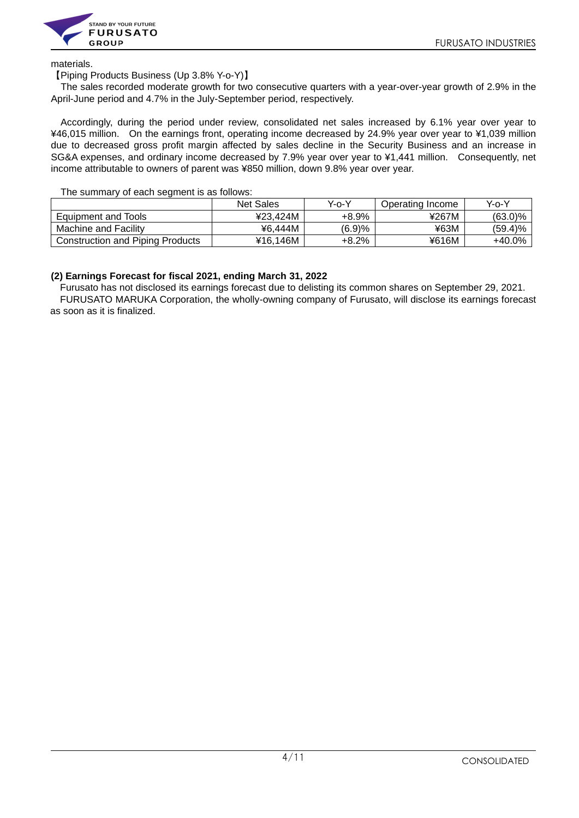

materials.

【Piping Products Business (Up 3.8% Y-o-Y)】

The sales recorded moderate growth for two consecutive quarters with a year-over-year growth of 2.9% in the April-June period and 4.7% in the July-September period, respectively.

Accordingly, during the period under review, consolidated net sales increased by 6.1% year over year to ¥46,015 million. On the earnings front, operating income decreased by 24.9% year over year to ¥1,039 million due to decreased gross profit margin affected by sales decline in the Security Business and an increase in SG&A expenses, and ordinary income decreased by 7.9% year over year to ¥1,441 million. Consequently, net income attributable to owners of parent was ¥850 million, down 9.8% year over year.

The summary of each segment is as follows:

|                                         | <b>Net Sales</b> | Y-o-Y    | Operating Income | Y-o-Y      |
|-----------------------------------------|------------------|----------|------------------|------------|
| Equipment and Tools                     | ¥23.424M         | $+8.9%$  | ¥267M            | $(63.0)\%$ |
| Machine and Facility                    | ¥6.444M          | (6.9)%   | ¥63M             | (59.4)%    |
| <b>Construction and Piping Products</b> | ¥16.146M         | $+8.2\%$ | ¥616M            | +40.0%     |

#### **(2) Earnings Forecast for fiscal 2021, ending March 31, 2022**

Furusato has not disclosed its earnings forecast due to delisting its common shares on September 29, 2021. FURUSATO MARUKA Corporation, the wholly-owning company of Furusato, will disclose its earnings forecast as soon as it is finalized.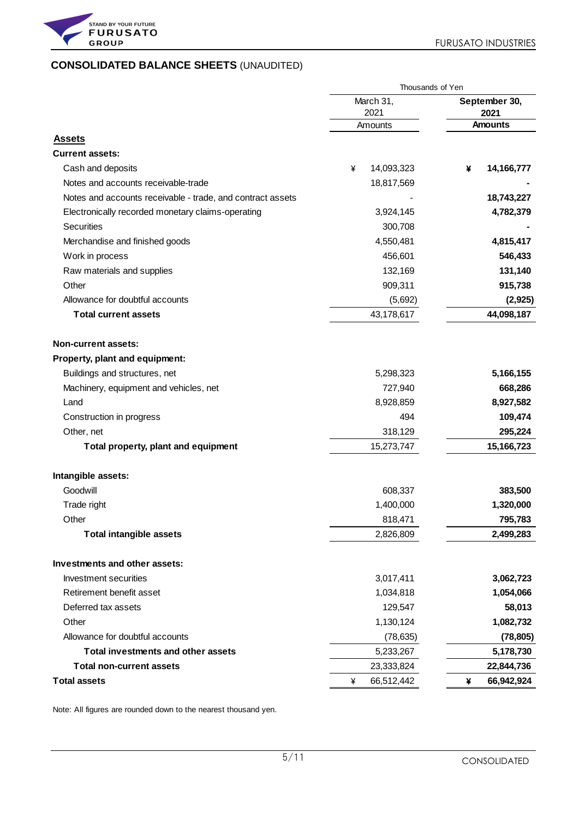

# **CONSOLIDATED BALANCE SHEETS** (UNAUDITED)

| March 31,<br>September 30,<br>2021<br>2021<br><b>Amounts</b><br>Amounts<br><b>Assets</b><br><b>Current assets:</b><br>Cash and deposits<br>14,093,323<br>14,166,777<br>¥<br>¥<br>Notes and accounts receivable-trade<br>18,817,569<br>18,743,227<br>Notes and accounts receivable - trade, and contract assets<br>3,924,145<br>4,782,379<br>Electronically recorded monetary claims-operating<br><b>Securities</b><br>300,708<br>4,550,481<br>4,815,417<br>Merchandise and finished goods<br>Work in process<br>456,601<br>546,433<br>Raw materials and supplies<br>131,140<br>132,169<br>Other<br>909,311<br>915,738<br>Allowance for doubtful accounts<br>(5,692)<br>(2, 925)<br>43,178,617<br>44,098,187<br><b>Total current assets</b><br><b>Non-current assets:</b><br>Property, plant and equipment:<br>Buildings and structures, net<br>5,298,323<br>5,166,155<br>727,940<br>668,286<br>Machinery, equipment and vehicles, net<br>Land<br>8,928,859<br>8,927,582<br>494<br>109,474<br>Construction in progress<br>Other, net<br>318,129<br>295,224<br>15,273,747<br>15,166,723<br>Total property, plant and equipment<br>Intangible assets:<br>Goodwill<br>608,337<br>383,500<br>Trade right<br>1,400,000<br>1,320,000<br>795,783<br>818,471<br>Other<br><b>Total intangible assets</b><br>2,826,809<br>2,499,283<br>Investments and other assets:<br>Investment securities<br>3,017,411<br>3,062,723<br>Retirement benefit asset<br>1,034,818<br>1,054,066<br>Deferred tax assets<br>129,547<br>58,013<br>Other<br>1,130,124<br>1,082,732<br>Allowance for doubtful accounts<br>(78, 635)<br>(78, 805)<br><b>Total investments and other assets</b><br>5,233,267<br>5,178,730<br><b>Total non-current assets</b><br>23,333,824<br>22,844,736<br><b>Total assets</b><br>66,512,442<br>66,942,924<br>¥<br>¥ | Thousands of Yen |  |  |  |  |  |
|-------------------------------------------------------------------------------------------------------------------------------------------------------------------------------------------------------------------------------------------------------------------------------------------------------------------------------------------------------------------------------------------------------------------------------------------------------------------------------------------------------------------------------------------------------------------------------------------------------------------------------------------------------------------------------------------------------------------------------------------------------------------------------------------------------------------------------------------------------------------------------------------------------------------------------------------------------------------------------------------------------------------------------------------------------------------------------------------------------------------------------------------------------------------------------------------------------------------------------------------------------------------------------------------------------------------------------------------------------------------------------------------------------------------------------------------------------------------------------------------------------------------------------------------------------------------------------------------------------------------------------------------------------------------------------------------------------------------------------------------------------------------------------------------------------------------|------------------|--|--|--|--|--|
|                                                                                                                                                                                                                                                                                                                                                                                                                                                                                                                                                                                                                                                                                                                                                                                                                                                                                                                                                                                                                                                                                                                                                                                                                                                                                                                                                                                                                                                                                                                                                                                                                                                                                                                                                                                                                   |                  |  |  |  |  |  |
|                                                                                                                                                                                                                                                                                                                                                                                                                                                                                                                                                                                                                                                                                                                                                                                                                                                                                                                                                                                                                                                                                                                                                                                                                                                                                                                                                                                                                                                                                                                                                                                                                                                                                                                                                                                                                   |                  |  |  |  |  |  |
|                                                                                                                                                                                                                                                                                                                                                                                                                                                                                                                                                                                                                                                                                                                                                                                                                                                                                                                                                                                                                                                                                                                                                                                                                                                                                                                                                                                                                                                                                                                                                                                                                                                                                                                                                                                                                   |                  |  |  |  |  |  |
|                                                                                                                                                                                                                                                                                                                                                                                                                                                                                                                                                                                                                                                                                                                                                                                                                                                                                                                                                                                                                                                                                                                                                                                                                                                                                                                                                                                                                                                                                                                                                                                                                                                                                                                                                                                                                   |                  |  |  |  |  |  |
|                                                                                                                                                                                                                                                                                                                                                                                                                                                                                                                                                                                                                                                                                                                                                                                                                                                                                                                                                                                                                                                                                                                                                                                                                                                                                                                                                                                                                                                                                                                                                                                                                                                                                                                                                                                                                   |                  |  |  |  |  |  |
|                                                                                                                                                                                                                                                                                                                                                                                                                                                                                                                                                                                                                                                                                                                                                                                                                                                                                                                                                                                                                                                                                                                                                                                                                                                                                                                                                                                                                                                                                                                                                                                                                                                                                                                                                                                                                   |                  |  |  |  |  |  |
|                                                                                                                                                                                                                                                                                                                                                                                                                                                                                                                                                                                                                                                                                                                                                                                                                                                                                                                                                                                                                                                                                                                                                                                                                                                                                                                                                                                                                                                                                                                                                                                                                                                                                                                                                                                                                   |                  |  |  |  |  |  |
|                                                                                                                                                                                                                                                                                                                                                                                                                                                                                                                                                                                                                                                                                                                                                                                                                                                                                                                                                                                                                                                                                                                                                                                                                                                                                                                                                                                                                                                                                                                                                                                                                                                                                                                                                                                                                   |                  |  |  |  |  |  |
|                                                                                                                                                                                                                                                                                                                                                                                                                                                                                                                                                                                                                                                                                                                                                                                                                                                                                                                                                                                                                                                                                                                                                                                                                                                                                                                                                                                                                                                                                                                                                                                                                                                                                                                                                                                                                   |                  |  |  |  |  |  |
|                                                                                                                                                                                                                                                                                                                                                                                                                                                                                                                                                                                                                                                                                                                                                                                                                                                                                                                                                                                                                                                                                                                                                                                                                                                                                                                                                                                                                                                                                                                                                                                                                                                                                                                                                                                                                   |                  |  |  |  |  |  |
|                                                                                                                                                                                                                                                                                                                                                                                                                                                                                                                                                                                                                                                                                                                                                                                                                                                                                                                                                                                                                                                                                                                                                                                                                                                                                                                                                                                                                                                                                                                                                                                                                                                                                                                                                                                                                   |                  |  |  |  |  |  |
|                                                                                                                                                                                                                                                                                                                                                                                                                                                                                                                                                                                                                                                                                                                                                                                                                                                                                                                                                                                                                                                                                                                                                                                                                                                                                                                                                                                                                                                                                                                                                                                                                                                                                                                                                                                                                   |                  |  |  |  |  |  |
|                                                                                                                                                                                                                                                                                                                                                                                                                                                                                                                                                                                                                                                                                                                                                                                                                                                                                                                                                                                                                                                                                                                                                                                                                                                                                                                                                                                                                                                                                                                                                                                                                                                                                                                                                                                                                   |                  |  |  |  |  |  |
|                                                                                                                                                                                                                                                                                                                                                                                                                                                                                                                                                                                                                                                                                                                                                                                                                                                                                                                                                                                                                                                                                                                                                                                                                                                                                                                                                                                                                                                                                                                                                                                                                                                                                                                                                                                                                   |                  |  |  |  |  |  |
|                                                                                                                                                                                                                                                                                                                                                                                                                                                                                                                                                                                                                                                                                                                                                                                                                                                                                                                                                                                                                                                                                                                                                                                                                                                                                                                                                                                                                                                                                                                                                                                                                                                                                                                                                                                                                   |                  |  |  |  |  |  |
|                                                                                                                                                                                                                                                                                                                                                                                                                                                                                                                                                                                                                                                                                                                                                                                                                                                                                                                                                                                                                                                                                                                                                                                                                                                                                                                                                                                                                                                                                                                                                                                                                                                                                                                                                                                                                   |                  |  |  |  |  |  |
|                                                                                                                                                                                                                                                                                                                                                                                                                                                                                                                                                                                                                                                                                                                                                                                                                                                                                                                                                                                                                                                                                                                                                                                                                                                                                                                                                                                                                                                                                                                                                                                                                                                                                                                                                                                                                   |                  |  |  |  |  |  |
|                                                                                                                                                                                                                                                                                                                                                                                                                                                                                                                                                                                                                                                                                                                                                                                                                                                                                                                                                                                                                                                                                                                                                                                                                                                                                                                                                                                                                                                                                                                                                                                                                                                                                                                                                                                                                   |                  |  |  |  |  |  |
|                                                                                                                                                                                                                                                                                                                                                                                                                                                                                                                                                                                                                                                                                                                                                                                                                                                                                                                                                                                                                                                                                                                                                                                                                                                                                                                                                                                                                                                                                                                                                                                                                                                                                                                                                                                                                   |                  |  |  |  |  |  |
|                                                                                                                                                                                                                                                                                                                                                                                                                                                                                                                                                                                                                                                                                                                                                                                                                                                                                                                                                                                                                                                                                                                                                                                                                                                                                                                                                                                                                                                                                                                                                                                                                                                                                                                                                                                                                   |                  |  |  |  |  |  |
|                                                                                                                                                                                                                                                                                                                                                                                                                                                                                                                                                                                                                                                                                                                                                                                                                                                                                                                                                                                                                                                                                                                                                                                                                                                                                                                                                                                                                                                                                                                                                                                                                                                                                                                                                                                                                   |                  |  |  |  |  |  |
|                                                                                                                                                                                                                                                                                                                                                                                                                                                                                                                                                                                                                                                                                                                                                                                                                                                                                                                                                                                                                                                                                                                                                                                                                                                                                                                                                                                                                                                                                                                                                                                                                                                                                                                                                                                                                   |                  |  |  |  |  |  |
|                                                                                                                                                                                                                                                                                                                                                                                                                                                                                                                                                                                                                                                                                                                                                                                                                                                                                                                                                                                                                                                                                                                                                                                                                                                                                                                                                                                                                                                                                                                                                                                                                                                                                                                                                                                                                   |                  |  |  |  |  |  |
|                                                                                                                                                                                                                                                                                                                                                                                                                                                                                                                                                                                                                                                                                                                                                                                                                                                                                                                                                                                                                                                                                                                                                                                                                                                                                                                                                                                                                                                                                                                                                                                                                                                                                                                                                                                                                   |                  |  |  |  |  |  |
|                                                                                                                                                                                                                                                                                                                                                                                                                                                                                                                                                                                                                                                                                                                                                                                                                                                                                                                                                                                                                                                                                                                                                                                                                                                                                                                                                                                                                                                                                                                                                                                                                                                                                                                                                                                                                   |                  |  |  |  |  |  |
|                                                                                                                                                                                                                                                                                                                                                                                                                                                                                                                                                                                                                                                                                                                                                                                                                                                                                                                                                                                                                                                                                                                                                                                                                                                                                                                                                                                                                                                                                                                                                                                                                                                                                                                                                                                                                   |                  |  |  |  |  |  |
|                                                                                                                                                                                                                                                                                                                                                                                                                                                                                                                                                                                                                                                                                                                                                                                                                                                                                                                                                                                                                                                                                                                                                                                                                                                                                                                                                                                                                                                                                                                                                                                                                                                                                                                                                                                                                   |                  |  |  |  |  |  |
|                                                                                                                                                                                                                                                                                                                                                                                                                                                                                                                                                                                                                                                                                                                                                                                                                                                                                                                                                                                                                                                                                                                                                                                                                                                                                                                                                                                                                                                                                                                                                                                                                                                                                                                                                                                                                   |                  |  |  |  |  |  |
|                                                                                                                                                                                                                                                                                                                                                                                                                                                                                                                                                                                                                                                                                                                                                                                                                                                                                                                                                                                                                                                                                                                                                                                                                                                                                                                                                                                                                                                                                                                                                                                                                                                                                                                                                                                                                   |                  |  |  |  |  |  |
|                                                                                                                                                                                                                                                                                                                                                                                                                                                                                                                                                                                                                                                                                                                                                                                                                                                                                                                                                                                                                                                                                                                                                                                                                                                                                                                                                                                                                                                                                                                                                                                                                                                                                                                                                                                                                   |                  |  |  |  |  |  |
|                                                                                                                                                                                                                                                                                                                                                                                                                                                                                                                                                                                                                                                                                                                                                                                                                                                                                                                                                                                                                                                                                                                                                                                                                                                                                                                                                                                                                                                                                                                                                                                                                                                                                                                                                                                                                   |                  |  |  |  |  |  |
|                                                                                                                                                                                                                                                                                                                                                                                                                                                                                                                                                                                                                                                                                                                                                                                                                                                                                                                                                                                                                                                                                                                                                                                                                                                                                                                                                                                                                                                                                                                                                                                                                                                                                                                                                                                                                   |                  |  |  |  |  |  |
|                                                                                                                                                                                                                                                                                                                                                                                                                                                                                                                                                                                                                                                                                                                                                                                                                                                                                                                                                                                                                                                                                                                                                                                                                                                                                                                                                                                                                                                                                                                                                                                                                                                                                                                                                                                                                   |                  |  |  |  |  |  |
|                                                                                                                                                                                                                                                                                                                                                                                                                                                                                                                                                                                                                                                                                                                                                                                                                                                                                                                                                                                                                                                                                                                                                                                                                                                                                                                                                                                                                                                                                                                                                                                                                                                                                                                                                                                                                   |                  |  |  |  |  |  |
|                                                                                                                                                                                                                                                                                                                                                                                                                                                                                                                                                                                                                                                                                                                                                                                                                                                                                                                                                                                                                                                                                                                                                                                                                                                                                                                                                                                                                                                                                                                                                                                                                                                                                                                                                                                                                   |                  |  |  |  |  |  |
|                                                                                                                                                                                                                                                                                                                                                                                                                                                                                                                                                                                                                                                                                                                                                                                                                                                                                                                                                                                                                                                                                                                                                                                                                                                                                                                                                                                                                                                                                                                                                                                                                                                                                                                                                                                                                   |                  |  |  |  |  |  |
|                                                                                                                                                                                                                                                                                                                                                                                                                                                                                                                                                                                                                                                                                                                                                                                                                                                                                                                                                                                                                                                                                                                                                                                                                                                                                                                                                                                                                                                                                                                                                                                                                                                                                                                                                                                                                   |                  |  |  |  |  |  |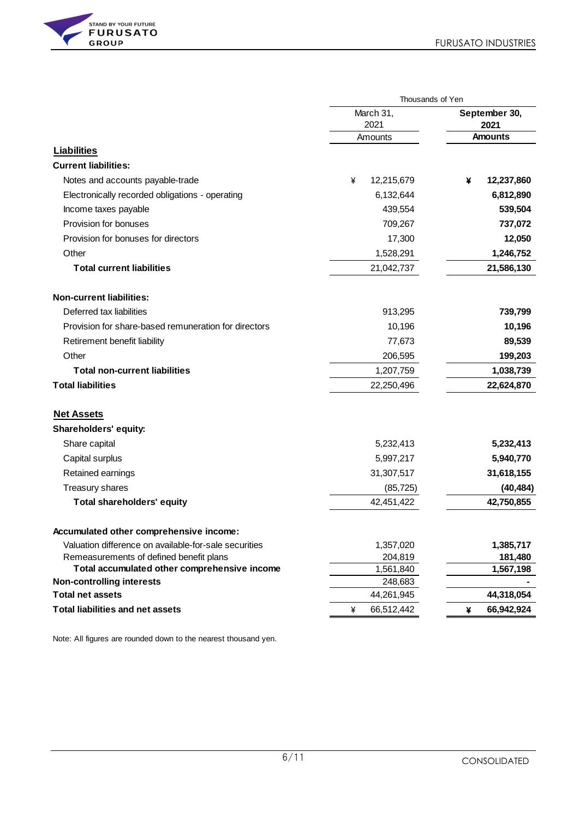

|                                                       |                 | Thousands of Yen |  |  |  |
|-------------------------------------------------------|-----------------|------------------|--|--|--|
|                                                       | March 31,       | September 30,    |  |  |  |
|                                                       | 2021            | 2021             |  |  |  |
|                                                       | Amounts         | <b>Amounts</b>   |  |  |  |
| <b>Liabilities</b>                                    |                 |                  |  |  |  |
| <b>Current liabilities:</b>                           |                 |                  |  |  |  |
| Notes and accounts payable-trade                      | 12,215,679<br>¥ | 12,237,860<br>¥  |  |  |  |
| Electronically recorded obligations - operating       | 6,132,644       | 6,812,890        |  |  |  |
| Income taxes payable                                  | 439,554         | 539,504          |  |  |  |
| Provision for bonuses                                 | 709,267         | 737,072          |  |  |  |
| Provision for bonuses for directors                   | 17,300          | 12,050           |  |  |  |
| Other                                                 | 1,528,291       | 1,246,752        |  |  |  |
| <b>Total current liabilities</b>                      | 21,042,737      | 21,586,130       |  |  |  |
| <b>Non-current liabilities:</b>                       |                 |                  |  |  |  |
| Deferred tax liabilities                              | 913,295         | 739,799          |  |  |  |
| Provision for share-based remuneration for directors  | 10,196          | 10,196           |  |  |  |
| Retirement benefit liability                          | 77,673          | 89,539           |  |  |  |
| Other                                                 | 206,595         | 199,203          |  |  |  |
| <b>Total non-current liabilities</b>                  | 1,207,759       | 1,038,739        |  |  |  |
| <b>Total liabilities</b>                              | 22,250,496      | 22,624,870       |  |  |  |
| <b>Net Assets</b>                                     |                 |                  |  |  |  |
| Shareholders' equity:                                 |                 |                  |  |  |  |
| Share capital                                         | 5,232,413       | 5,232,413        |  |  |  |
| Capital surplus                                       | 5,997,217       | 5,940,770        |  |  |  |
| Retained earnings                                     | 31,307,517      | 31,618,155       |  |  |  |
| Treasury shares                                       | (85, 725)       | (40, 484)        |  |  |  |
| Total shareholders' equity                            | 42,451,422      | 42,750,855       |  |  |  |
| Accumulated other comprehensive income:               |                 |                  |  |  |  |
| Valuation difference on available-for-sale securities | 1,357,020       | 1,385,717        |  |  |  |
| Remeasurements of defined benefit plans               | 204,819         | 181,480          |  |  |  |
| Total accumulated other comprehensive income          | 1,561,840       | 1,567,198        |  |  |  |
| <b>Non-controlling interests</b>                      | 248,683         |                  |  |  |  |
| <b>Total net assets</b>                               | 44,261,945      | 44,318,054       |  |  |  |
| <b>Total liabilities and net assets</b>               | 66,512,442<br>¥ | 66,942,924<br>¥  |  |  |  |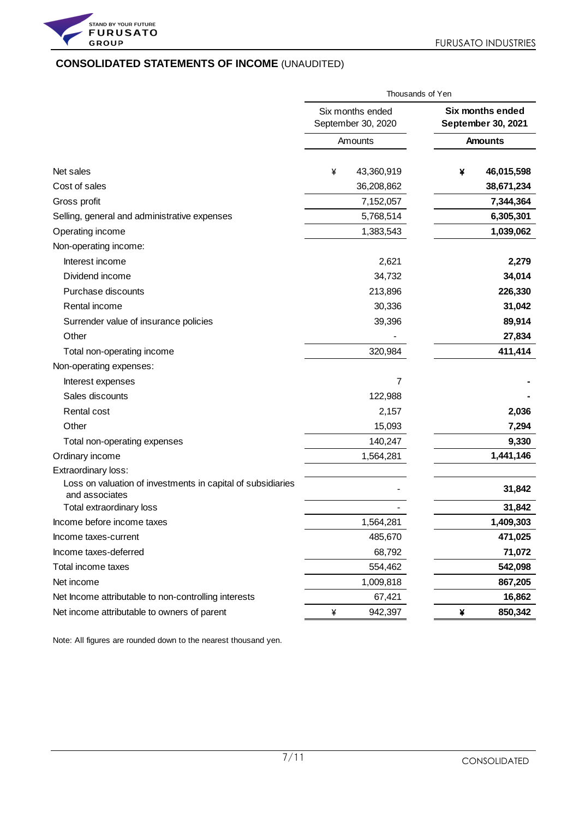

# **CONSOLIDATED STATEMENTS OF INCOME** (UNAUDITED)

|                                                                               |   |                                        | Thousands of Yen |                                               |  |  |
|-------------------------------------------------------------------------------|---|----------------------------------------|------------------|-----------------------------------------------|--|--|
|                                                                               |   | Six months ended<br>September 30, 2020 |                  | Six months ended<br><b>September 30, 2021</b> |  |  |
|                                                                               |   | Amounts                                | <b>Amounts</b>   |                                               |  |  |
| Net sales                                                                     | ¥ | 43,360,919                             | ¥                | 46,015,598                                    |  |  |
| Cost of sales                                                                 |   | 36,208,862                             |                  | 38,671,234                                    |  |  |
| Gross profit                                                                  |   | 7,152,057                              |                  | 7,344,364                                     |  |  |
| Selling, general and administrative expenses                                  |   | 5,768,514                              |                  | 6,305,301                                     |  |  |
| Operating income                                                              |   | 1,383,543                              |                  | 1,039,062                                     |  |  |
| Non-operating income:                                                         |   |                                        |                  |                                               |  |  |
| Interest income                                                               |   | 2,621                                  |                  | 2,279                                         |  |  |
| Dividend income                                                               |   | 34,732                                 |                  | 34,014                                        |  |  |
| Purchase discounts                                                            |   | 213,896                                |                  | 226,330                                       |  |  |
| Rental income                                                                 |   | 30,336                                 |                  | 31,042                                        |  |  |
| Surrender value of insurance policies                                         |   | 39,396                                 |                  | 89,914                                        |  |  |
| Other                                                                         |   |                                        |                  | 27,834                                        |  |  |
| Total non-operating income                                                    |   | 320,984                                |                  | 411,414                                       |  |  |
| Non-operating expenses:                                                       |   |                                        |                  |                                               |  |  |
| Interest expenses                                                             |   | $\overline{7}$                         |                  |                                               |  |  |
| Sales discounts                                                               |   | 122,988                                |                  |                                               |  |  |
| Rental cost                                                                   |   | 2,157                                  |                  | 2,036                                         |  |  |
| Other                                                                         |   | 15,093                                 |                  | 7,294                                         |  |  |
| Total non-operating expenses                                                  |   | 140,247                                |                  | 9,330                                         |  |  |
| Ordinary income                                                               |   | 1,564,281                              |                  | 1,441,146                                     |  |  |
| Extraordinary loss:                                                           |   |                                        |                  |                                               |  |  |
| Loss on valuation of investments in capital of subsidiaries<br>and associates |   |                                        |                  | 31,842                                        |  |  |
| Total extraordinary loss                                                      |   |                                        |                  | 31,842                                        |  |  |
| Income before income taxes                                                    |   | 1,564,281                              |                  | 1,409,303                                     |  |  |
| Income taxes-current                                                          |   | 485,670                                |                  | 471,025                                       |  |  |
| Income taxes-deferred                                                         |   | 68,792                                 |                  | 71,072                                        |  |  |
| Total income taxes                                                            |   | 554,462                                |                  | 542,098                                       |  |  |
| Net income                                                                    |   | 1,009,818                              |                  | 867,205                                       |  |  |
| Net Income attributable to non-controlling interests                          |   | 67,421                                 |                  | 16,862                                        |  |  |
| Net income attributable to owners of parent                                   | ¥ | 942,397                                | ¥                | 850,342                                       |  |  |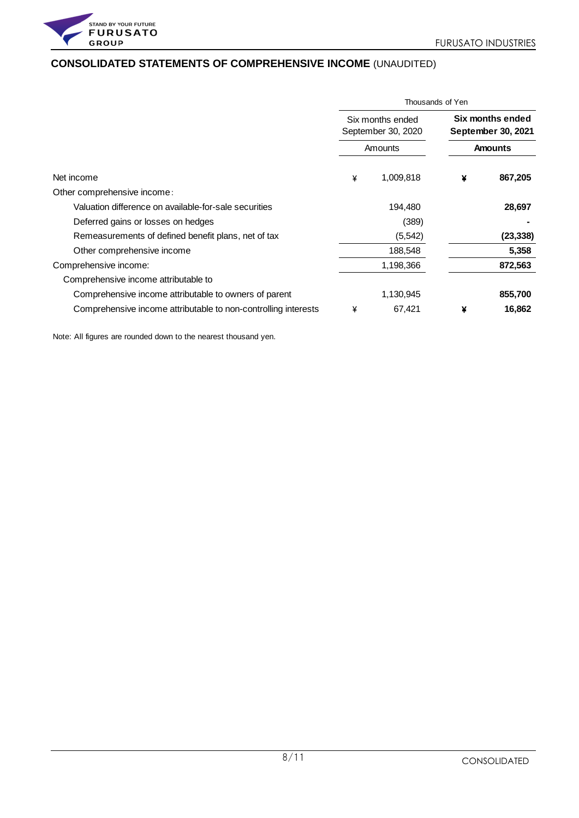

# **CONSOLIDATED STATEMENTS OF COMPREHENSIVE INCOME** (UNAUDITED)

|                                                                |                                        |           |                | Thousands of Yen                       |  |  |  |
|----------------------------------------------------------------|----------------------------------------|-----------|----------------|----------------------------------------|--|--|--|
|                                                                | Six months ended<br>September 30, 2020 |           |                | Six months ended<br>September 30, 2021 |  |  |  |
|                                                                |                                        | Amounts   | <b>Amounts</b> |                                        |  |  |  |
| Net income                                                     | ¥                                      | 1,009,818 | ¥              | 867,205                                |  |  |  |
| Other comprehensive income:                                    |                                        |           |                |                                        |  |  |  |
| Valuation difference on available-for-sale securities          |                                        | 194,480   |                | 28,697                                 |  |  |  |
| Deferred gains or losses on hedges                             |                                        | (389)     |                |                                        |  |  |  |
| Remeasurements of defined benefit plans, net of tax            |                                        | (5, 542)  |                | (23, 338)                              |  |  |  |
| Other comprehensive income                                     |                                        | 188,548   |                | 5,358                                  |  |  |  |
| Comprehensive income:                                          |                                        | 1,198,366 |                | 872,563                                |  |  |  |
| Comprehensive income attributable to                           |                                        |           |                |                                        |  |  |  |
| Comprehensive income attributable to owners of parent          |                                        | 1,130,945 |                | 855,700                                |  |  |  |
| Comprehensive income attributable to non-controlling interests | ¥                                      | 67,421    | ¥              | 16,862                                 |  |  |  |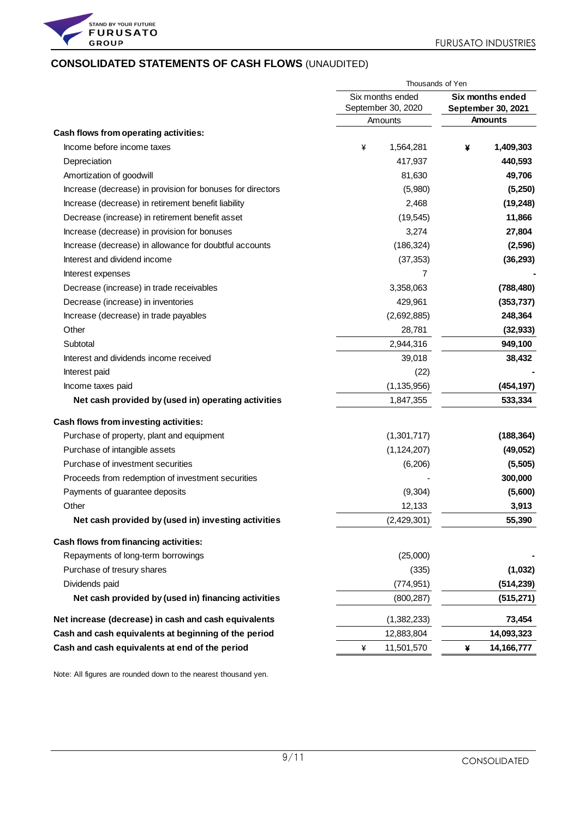

# **CONSOLIDATED STATEMENTS OF CASH FLOWS** (UNAUDITED)

|                                                            |   | Thousands of Yen                       |   |                                        |  |
|------------------------------------------------------------|---|----------------------------------------|---|----------------------------------------|--|
|                                                            |   | Six months ended<br>September 30, 2020 |   | Six months ended<br>September 30, 2021 |  |
|                                                            |   | Amounts                                |   | <b>Amounts</b>                         |  |
| Cash flows from operating activities:                      |   |                                        |   |                                        |  |
| Income before income taxes                                 | ¥ | 1,564,281                              | ¥ | 1,409,303                              |  |
| Depreciation                                               |   | 417,937                                |   | 440,593                                |  |
| Amortization of goodwill                                   |   | 81,630                                 |   | 49,706                                 |  |
| Increase (decrease) in provision for bonuses for directors |   | (5,980)                                |   | (5,250)                                |  |
| Increase (decrease) in retirement benefit liability        |   | 2,468                                  |   | (19, 248)                              |  |
| Decrease (increase) in retirement benefit asset            |   | (19, 545)                              |   | 11,866                                 |  |
| Increase (decrease) in provision for bonuses               |   | 3,274                                  |   | 27,804                                 |  |
| Increase (decrease) in allowance for doubtful accounts     |   | (186, 324)                             |   | (2, 596)                               |  |
| Interest and dividend income                               |   | (37, 353)                              |   | (36, 293)                              |  |
| Interest expenses                                          |   | 7                                      |   |                                        |  |
| Decrease (increase) in trade receivables                   |   | 3,358,063                              |   | (788, 480)                             |  |
| Decrease (increase) in inventories                         |   | 429,961                                |   | (353, 737)                             |  |
| Increase (decrease) in trade payables                      |   | (2,692,885)                            |   | 248,364                                |  |
| Other                                                      |   | 28,781                                 |   | (32, 933)                              |  |
| Subtotal                                                   |   | 2,944,316                              |   | 949,100                                |  |
| Interest and dividends income received                     |   | 39,018                                 |   | 38,432                                 |  |
| Interest paid                                              |   | (22)                                   |   |                                        |  |
| Income taxes paid                                          |   | (1, 135, 956)                          |   | (454, 197)                             |  |
| Net cash provided by (used in) operating activities        |   | 1,847,355                              |   | 533,334                                |  |
| Cash flows from investing activities:                      |   |                                        |   |                                        |  |
| Purchase of property, plant and equipment                  |   | (1,301,717)                            |   | (188, 364)                             |  |
| Purchase of intangible assets                              |   | (1, 124, 207)                          |   | (49, 052)                              |  |
| Purchase of investment securities                          |   | (6, 206)                               |   | (5,505)                                |  |
| Proceeds from redemption of investment securities          |   |                                        |   | 300,000                                |  |
| Payments of guarantee deposits                             |   | (9, 304)                               |   | (5,600)                                |  |
| Other                                                      |   | 12,133                                 |   | 3,913                                  |  |
| Net cash provided by (used in) investing activities        |   | (2,429,301)                            |   | 55,390                                 |  |
| Cash flows from financing activities:                      |   |                                        |   |                                        |  |
| Repayments of long-term borrowings                         |   | (25,000)                               |   |                                        |  |
| Purchase of tresury shares                                 |   | (335)                                  |   | (1,032)                                |  |
| Dividends paid                                             |   | (774, 951)                             |   | (514, 239)                             |  |
| Net cash provided by (used in) financing activities        |   | (800, 287)                             |   | (515, 271)                             |  |
| Net increase (decrease) in cash and cash equivalents       |   | (1,382,233)                            |   | 73,454                                 |  |
| Cash and cash equivalents at beginning of the period       |   | 12,883,804                             |   | 14,093,323                             |  |
| Cash and cash equivalents at end of the period             | ¥ | 11,501,570                             | ¥ | 14,166,777                             |  |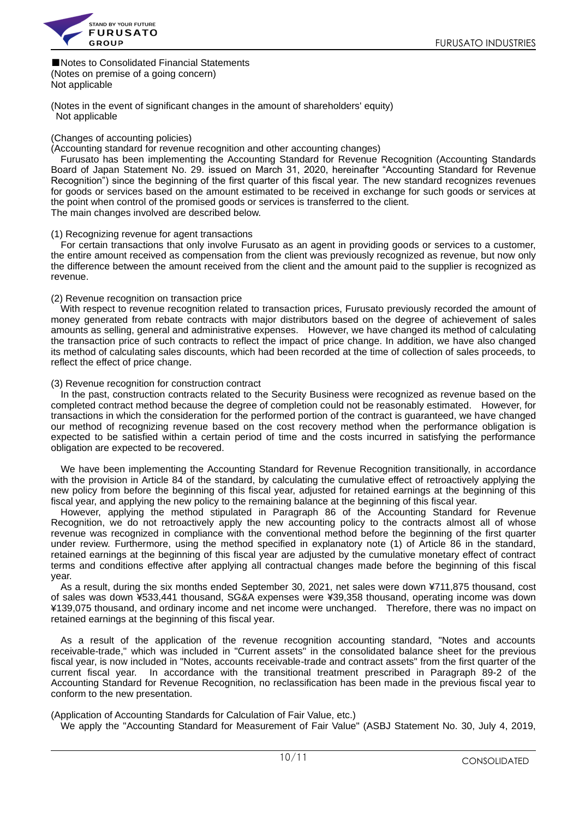

■Notes to Consolidated Financial Statements (Notes on premise of a going concern) Not applicable

(Notes in the event of significant changes in the amount of shareholders' equity) Not applicable

#### (Changes of accounting policies)

(Accounting standard for revenue recognition and other accounting changes)

Furusato has been implementing the Accounting Standard for Revenue Recognition (Accounting Standards Board of Japan Statement No. 29. issued on March 31, 2020, hereinafter "Accounting Standard for Revenue Recognition") since the beginning of the first quarter of this fiscal year. The new standard recognizes revenues for goods or services based on the amount estimated to be received in exchange for such goods or services at the point when control of the promised goods or services is transferred to the client. The main changes involved are described below.

#### (1) Recognizing revenue for agent transactions

 For certain transactions that only involve Furusato as an agent in providing goods or services to a customer, the entire amount received as compensation from the client was previously recognized as revenue, but now only the difference between the amount received from the client and the amount paid to the supplier is recognized as revenue.

#### (2) Revenue recognition on transaction price

With respect to revenue recognition related to transaction prices, Furusato previously recorded the amount of money generated from rebate contracts with major distributors based on the degree of achievement of sales amounts as selling, general and administrative expenses. However, we have changed its method of calculating the transaction price of such contracts to reflect the impact of price change. In addition, we have also changed its method of calculating sales discounts, which had been recorded at the time of collection of sales proceeds, to reflect the effect of price change.

#### (3) Revenue recognition for construction contract

 In the past, construction contracts related to the Security Business were recognized as revenue based on the completed contract method because the degree of completion could not be reasonably estimated. However, for transactions in which the consideration for the performed portion of the contract is guaranteed, we have changed our method of recognizing revenue based on the cost recovery method when the performance obligation is expected to be satisfied within a certain period of time and the costs incurred in satisfying the performance obligation are expected to be recovered.

 We have been implementing the Accounting Standard for Revenue Recognition transitionally, in accordance with the provision in Article 84 of the standard, by calculating the cumulative effect of retroactively applying the new policy from before the beginning of this fiscal year, adjusted for retained earnings at the beginning of this fiscal year, and applying the new policy to the remaining balance at the beginning of this fiscal year.

However, applying the method stipulated in Paragraph 86 of the Accounting Standard for Revenue Recognition, we do not retroactively apply the new accounting policy to the contracts almost all of whose revenue was recognized in compliance with the conventional method before the beginning of the first quarter under review. Furthermore, using the method specified in explanatory note (1) of Article 86 in the standard, retained earnings at the beginning of this fiscal year are adjusted by the cumulative monetary effect of contract terms and conditions effective after applying all contractual changes made before the beginning of this fiscal year.

As a result, during the six months ended September 30, 2021, net sales were down ¥711,875 thousand, cost of sales was down ¥533,441 thousand, SG&A expenses were ¥39,358 thousand, operating income was down ¥139,075 thousand, and ordinary income and net income were unchanged. Therefore, there was no impact on retained earnings at the beginning of this fiscal year.

As a result of the application of the revenue recognition accounting standard, "Notes and accounts receivable-trade," which was included in "Current assets" in the consolidated balance sheet for the previous fiscal year, is now included in "Notes, accounts receivable-trade and contract assets" from the first quarter of the current fiscal year. In accordance with the transitional treatment prescribed in Paragraph 89-2 of the Accounting Standard for Revenue Recognition, no reclassification has been made in the previous fiscal year to conform to the new presentation.

(Application of Accounting Standards for Calculation of Fair Value, etc.)

We apply the "Accounting Standard for Measurement of Fair Value" (ASBJ Statement No. 30, July 4, 2019,